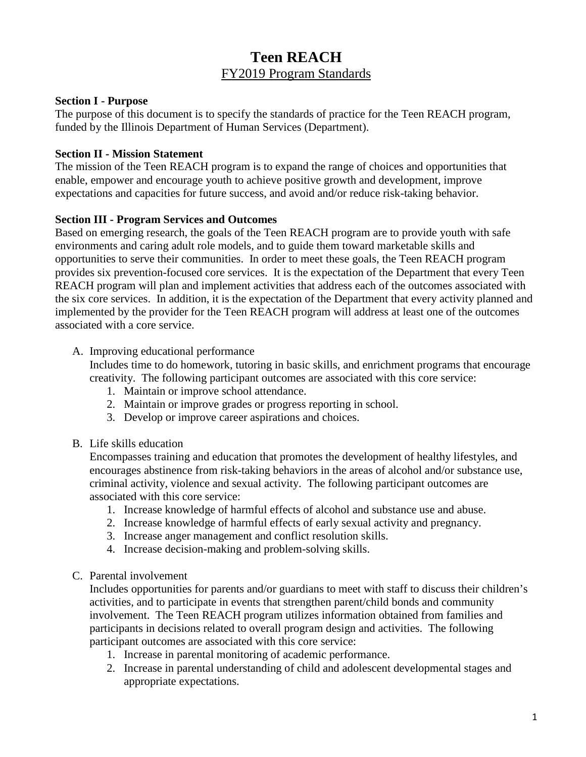# **Teen REACH** FY2019 Program Standards

#### **Section I - Purpose**

The purpose of this document is to specify the standards of practice for the Teen REACH program, funded by the Illinois Department of Human Services (Department).

#### **Section II - Mission Statement**

The mission of the Teen REACH program is to expand the range of choices and opportunities that enable, empower and encourage youth to achieve positive growth and development, improve expectations and capacities for future success, and avoid and/or reduce risk-taking behavior.

#### **Section III - Program Services and Outcomes**

Based on emerging research, the goals of the Teen REACH program are to provide youth with safe environments and caring adult role models, and to guide them toward marketable skills and opportunities to serve their communities. In order to meet these goals, the Teen REACH program provides six prevention-focused core services. It is the expectation of the Department that every Teen REACH program will plan and implement activities that address each of the outcomes associated with the six core services. In addition, it is the expectation of the Department that every activity planned and implemented by the provider for the Teen REACH program will address at least one of the outcomes associated with a core service.

#### A. Improving educational performance

Includes time to do homework, tutoring in basic skills, and enrichment programs that encourage creativity. The following participant outcomes are associated with this core service:

- 1. Maintain or improve school attendance.
- 2. Maintain or improve grades or progress reporting in school.
- 3. Develop or improve career aspirations and choices.
- B. Life skills education

Encompasses training and education that promotes the development of healthy lifestyles, and encourages abstinence from risk-taking behaviors in the areas of alcohol and/or substance use, criminal activity, violence and sexual activity. The following participant outcomes are associated with this core service:

- 1. Increase knowledge of harmful effects of alcohol and substance use and abuse.
- 2. Increase knowledge of harmful effects of early sexual activity and pregnancy.
- 3. Increase anger management and conflict resolution skills.
- 4. Increase decision-making and problem-solving skills.

#### C. Parental involvement

Includes opportunities for parents and/or guardians to meet with staff to discuss their children's activities, and to participate in events that strengthen parent/child bonds and community involvement. The Teen REACH program utilizes information obtained from families and participants in decisions related to overall program design and activities. The following participant outcomes are associated with this core service:

- 1. Increase in parental monitoring of academic performance.
- 2. Increase in parental understanding of child and adolescent developmental stages and appropriate expectations.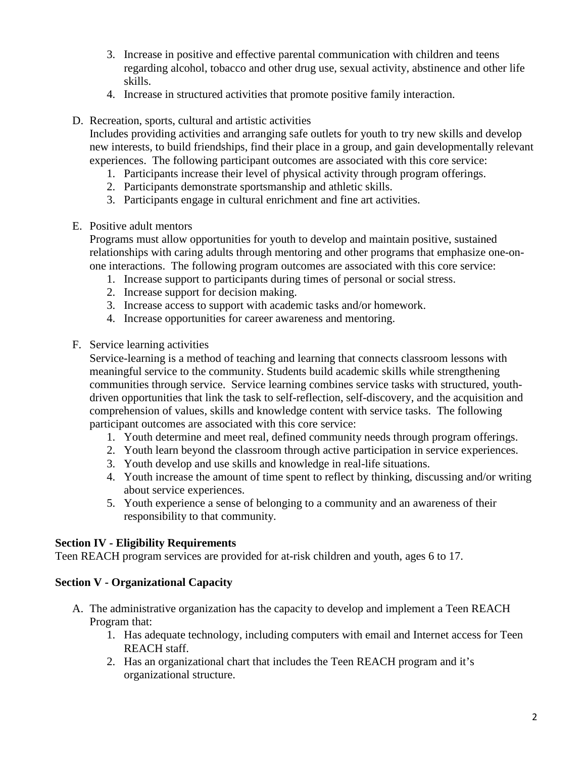- 3. Increase in positive and effective parental communication with children and teens regarding alcohol, tobacco and other drug use, sexual activity, abstinence and other life skills.
- 4. Increase in structured activities that promote positive family interaction.
- D. Recreation, sports, cultural and artistic activities

Includes providing activities and arranging safe outlets for youth to try new skills and develop new interests, to build friendships, find their place in a group, and gain developmentally relevant experiences. The following participant outcomes are associated with this core service:

- 1. Participants increase their level of physical activity through program offerings.
- 2. Participants demonstrate sportsmanship and athletic skills.
- 3. Participants engage in cultural enrichment and fine art activities.
- E. Positive adult mentors

Programs must allow opportunities for youth to develop and maintain positive, sustained relationships with caring adults through mentoring and other programs that emphasize one-onone interactions. The following program outcomes are associated with this core service:

- 1. Increase support to participants during times of personal or social stress.
- 2. Increase support for decision making.
- 3. Increase access to support with academic tasks and/or homework.
- 4. Increase opportunities for career awareness and mentoring.
- F. Service learning activities

Service-learning is a method of teaching and learning that connects classroom lessons with meaningful service to the community. Students build academic skills while strengthening communities through service. Service learning combines service tasks with structured, youthdriven opportunities that link the task to self-reflection, self-discovery, and the acquisition and comprehension of values, skills and knowledge content with service tasks.The following participant outcomes are associated with this core service:

- 1. Youth determine and meet real, defined community needs through program offerings.
- 2. Youth learn beyond the classroom through active participation in service experiences.
- 3. Youth develop and use skills and knowledge in real-life situations.
- 4. Youth increase the amount of time spent to reflect by thinking, discussing and/or writing about service experiences.
- 5. Youth experience a sense of belonging to a community and an awareness of their responsibility to that community.

## **Section IV - Eligibility Requirements**

Teen REACH program services are provided for at-risk children and youth, ages 6 to 17.

## **Section V - Organizational Capacity**

- A. The administrative organization has the capacity to develop and implement a Teen REACH Program that:
	- 1. Has adequate technology, including computers with email and Internet access for Teen REACH staff.
	- 2. Has an organizational chart that includes the Teen REACH program and it's organizational structure.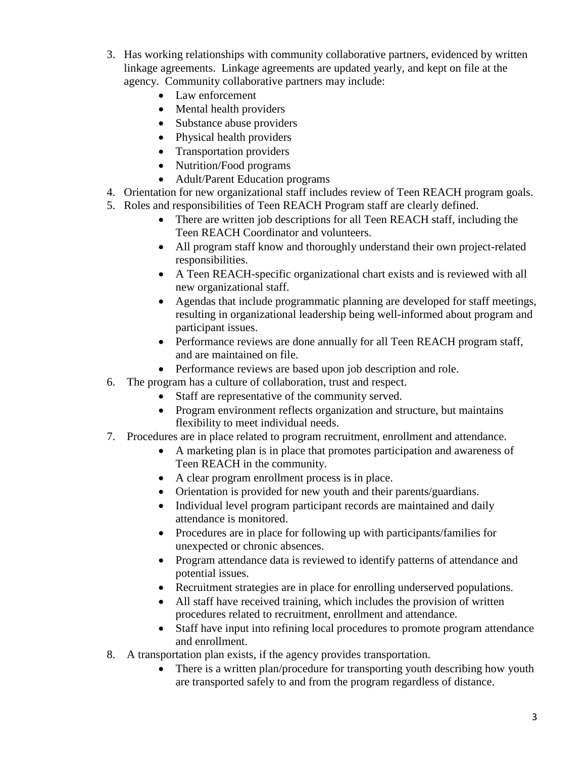- 3. Has working relationships with community collaborative partners, evidenced by written linkage agreements. Linkage agreements are updated yearly, and kept on file at the agency. Community collaborative partners may include:
	- Law enforcement
	- Mental health providers
	- Substance abuse providers
	- Physical health providers
	- Transportation providers
	- Nutrition/Food programs
	- Adult/Parent Education programs
- 4. Orientation for new organizational staff includes review of Teen REACH program goals.
- 5. Roles and responsibilities of Teen REACH Program staff are clearly defined.
	- There are written job descriptions for all Teen REACH staff, including the Teen REACH Coordinator and volunteers.
	- All program staff know and thoroughly understand their own project-related responsibilities.
	- A Teen REACH-specific organizational chart exists and is reviewed with all new organizational staff.
	- Agendas that include programmatic planning are developed for staff meetings, resulting in organizational leadership being well-informed about program and participant issues.
	- Performance reviews are done annually for all Teen REACH program staff, and are maintained on file.
	- Performance reviews are based upon job description and role.
- 6. The program has a culture of collaboration, trust and respect.
	- Staff are representative of the community served.
	- Program environment reflects organization and structure, but maintains flexibility to meet individual needs.
- 7. Procedures are in place related to program recruitment, enrollment and attendance.
	- A marketing plan is in place that promotes participation and awareness of Teen REACH in the community.
	- A clear program enrollment process is in place.
	- Orientation is provided for new youth and their parents/guardians.
	- Individual level program participant records are maintained and daily attendance is monitored.
	- Procedures are in place for following up with participants/families for unexpected or chronic absences.
	- Program attendance data is reviewed to identify patterns of attendance and potential issues.
	- Recruitment strategies are in place for enrolling underserved populations.
	- All staff have received training, which includes the provision of written procedures related to recruitment, enrollment and attendance.
	- Staff have input into refining local procedures to promote program attendance and enrollment.
- 8. A transportation plan exists, if the agency provides transportation.
	- There is a written plan/procedure for transporting youth describing how youth are transported safely to and from the program regardless of distance.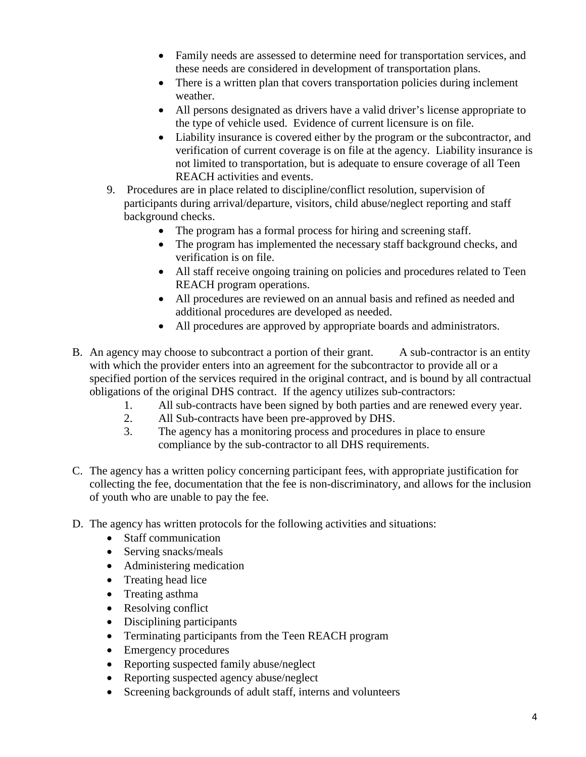- Family needs are assessed to determine need for transportation services, and these needs are considered in development of transportation plans.
- There is a written plan that covers transportation policies during inclement weather.
- All persons designated as drivers have a valid driver's license appropriate to the type of vehicle used. Evidence of current licensure is on file.
- Liability insurance is covered either by the program or the subcontractor, and verification of current coverage is on file at the agency. Liability insurance is not limited to transportation, but is adequate to ensure coverage of all Teen REACH activities and events.
- 9. Procedures are in place related to discipline/conflict resolution, supervision of participants during arrival/departure, visitors, child abuse/neglect reporting and staff background checks.
	- The program has a formal process for hiring and screening staff.
	- The program has implemented the necessary staff background checks, and verification is on file.
	- All staff receive ongoing training on policies and procedures related to Teen REACH program operations.
	- All procedures are reviewed on an annual basis and refined as needed and additional procedures are developed as needed.
	- All procedures are approved by appropriate boards and administrators.
- B. An agency may choose to subcontract a portion of their grant. A sub-contractor is an entity with which the provider enters into an agreement for the subcontractor to provide all or a specified portion of the services required in the original contract, and is bound by all contractual obligations of the original DHS contract. If the agency utilizes sub-contractors:
	- 1. All sub-contracts have been signed by both parties and are renewed every year.
	- 2. All Sub-contracts have been pre-approved by DHS.
	- 3. The agency has a monitoring process and procedures in place to ensure compliance by the sub-contractor to all DHS requirements.
- C. The agency has a written policy concerning participant fees, with appropriate justification for collecting the fee, documentation that the fee is non-discriminatory, and allows for the inclusion of youth who are unable to pay the fee.
- D. The agency has written protocols for the following activities and situations:
	- Staff communication
	- Serving snacks/meals
	- Administering medication
	- Treating head lice
	- Treating asthma
	- Resolving conflict
	- Disciplining participants
	- Terminating participants from the Teen REACH program
	- Emergency procedures
	- Reporting suspected family abuse/neglect
	- Reporting suspected agency abuse/neglect
	- Screening backgrounds of adult staff, interns and volunteers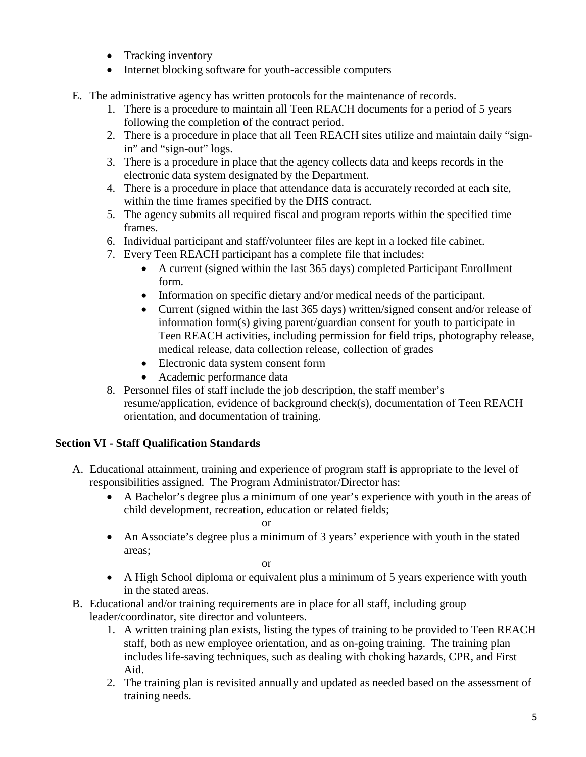- Tracking inventory
- Internet blocking software for youth-accessible computers
- E. The administrative agency has written protocols for the maintenance of records.
	- 1. There is a procedure to maintain all Teen REACH documents for a period of 5 years following the completion of the contract period.
	- 2. There is a procedure in place that all Teen REACH sites utilize and maintain daily "signin" and "sign-out" logs.
	- 3. There is a procedure in place that the agency collects data and keeps records in the electronic data system designated by the Department.
	- 4. There is a procedure in place that attendance data is accurately recorded at each site, within the time frames specified by the DHS contract.
	- 5. The agency submits all required fiscal and program reports within the specified time frames.
	- 6. Individual participant and staff/volunteer files are kept in a locked file cabinet.
	- 7. Every Teen REACH participant has a complete file that includes:
		- A current (signed within the last 365 days) completed Participant Enrollment form.
		- Information on specific dietary and/or medical needs of the participant.
		- Current (signed within the last 365 days) written/signed consent and/or release of information form(s) giving parent/guardian consent for youth to participate in Teen REACH activities, including permission for field trips, photography release, medical release, data collection release, collection of grades
		- Electronic data system consent form
		- Academic performance data
	- 8. Personnel files of staff include the job description, the staff member's resume/application, evidence of background check(s), documentation of Teen REACH orientation, and documentation of training.

# **Section VI - Staff Qualification Standards**

- A. Educational attainment, training and experience of program staff is appropriate to the level of responsibilities assigned. The Program Administrator/Director has:
	- A Bachelor's degree plus a minimum of one year's experience with youth in the areas of child development, recreation, education or related fields;

or

• An Associate's degree plus a minimum of 3 years' experience with youth in the stated areas;

or

- A High School diploma or equivalent plus a minimum of 5 years experience with youth in the stated areas.
- B. Educational and/or training requirements are in place for all staff, including group leader/coordinator, site director and volunteers.
	- 1. A written training plan exists, listing the types of training to be provided to Teen REACH staff, both as new employee orientation, and as on-going training. The training plan includes life-saving techniques, such as dealing with choking hazards, CPR, and First Aid.
	- 2. The training plan is revisited annually and updated as needed based on the assessment of training needs.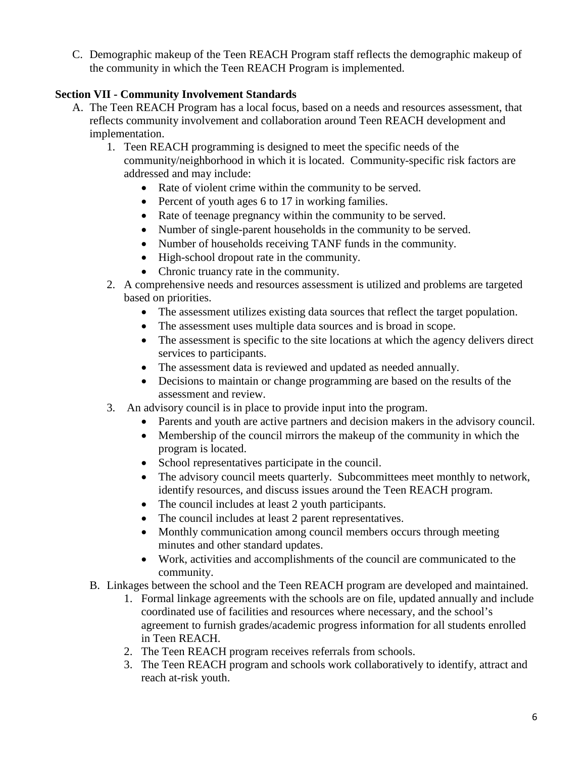C. Demographic makeup of the Teen REACH Program staff reflects the demographic makeup of the community in which the Teen REACH Program is implemented.

## **Section VII - Community Involvement Standards**

- A. The Teen REACH Program has a local focus, based on a needs and resources assessment, that reflects community involvement and collaboration around Teen REACH development and implementation.
	- 1. Teen REACH programming is designed to meet the specific needs of the community/neighborhood in which it is located. Community-specific risk factors are addressed and may include:
		- Rate of violent crime within the community to be served.
		- Percent of youth ages 6 to 17 in working families.
		- Rate of teenage pregnancy within the community to be served.
		- Number of single-parent households in the community to be served.
		- Number of households receiving TANF funds in the community.
		- High-school dropout rate in the community.
		- Chronic truancy rate in the community.
	- 2. A comprehensive needs and resources assessment is utilized and problems are targeted based on priorities.
		- The assessment utilizes existing data sources that reflect the target population.
		- The assessment uses multiple data sources and is broad in scope.
		- The assessment is specific to the site locations at which the agency delivers direct services to participants.
		- The assessment data is reviewed and updated as needed annually.
		- Decisions to maintain or change programming are based on the results of the assessment and review.
	- 3. An advisory council is in place to provide input into the program.
		- Parents and youth are active partners and decision makers in the advisory council.
		- Membership of the council mirrors the makeup of the community in which the program is located.
		- School representatives participate in the council.
		- The advisory council meets quarterly. Subcommittees meet monthly to network, identify resources, and discuss issues around the Teen REACH program.
		- The council includes at least 2 youth participants.
		- The council includes at least 2 parent representatives.
		- Monthly communication among council members occurs through meeting minutes and other standard updates.
		- Work, activities and accomplishments of the council are communicated to the community.
	- B. Linkages between the school and the Teen REACH program are developed and maintained.
		- 1. Formal linkage agreements with the schools are on file, updated annually and include coordinated use of facilities and resources where necessary, and the school's agreement to furnish grades/academic progress information for all students enrolled in Teen REACH.
		- 2. The Teen REACH program receives referrals from schools.
		- 3. The Teen REACH program and schools work collaboratively to identify, attract and reach at-risk youth.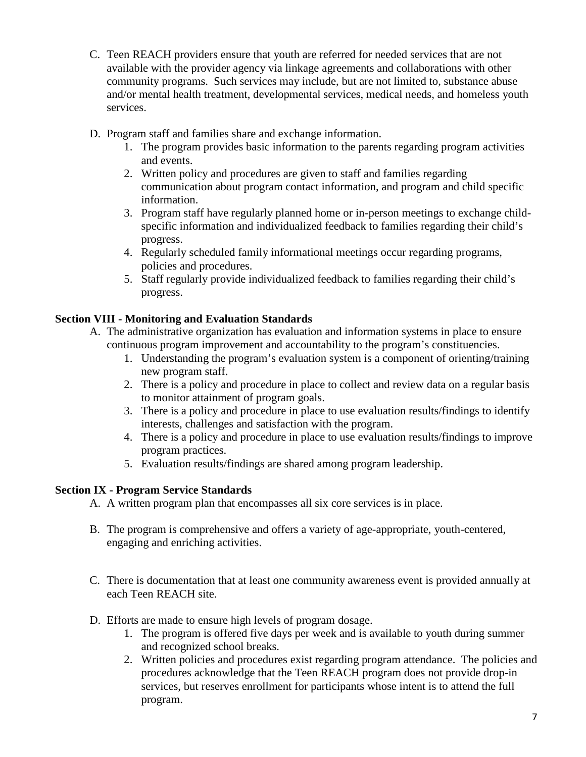- C. Teen REACH providers ensure that youth are referred for needed services that are not available with the provider agency via linkage agreements and collaborations with other community programs. Such services may include, but are not limited to, substance abuse and/or mental health treatment, developmental services, medical needs, and homeless youth services.
- D. Program staff and families share and exchange information.
	- 1. The program provides basic information to the parents regarding program activities and events.
	- 2. Written policy and procedures are given to staff and families regarding communication about program contact information, and program and child specific information.
	- 3. Program staff have regularly planned home or in-person meetings to exchange childspecific information and individualized feedback to families regarding their child's progress.
	- 4. Regularly scheduled family informational meetings occur regarding programs, policies and procedures.
	- 5. Staff regularly provide individualized feedback to families regarding their child's progress.

## **Section VIII - Monitoring and Evaluation Standards**

- A. The administrative organization has evaluation and information systems in place to ensure continuous program improvement and accountability to the program's constituencies.
	- 1. Understanding the program's evaluation system is a component of orienting/training new program staff.
	- 2. There is a policy and procedure in place to collect and review data on a regular basis to monitor attainment of program goals.
	- 3. There is a policy and procedure in place to use evaluation results/findings to identify interests, challenges and satisfaction with the program.
	- 4. There is a policy and procedure in place to use evaluation results/findings to improve program practices.
	- 5. Evaluation results/findings are shared among program leadership.

## **Section IX - Program Service Standards**

A. A written program plan that encompasses all six core services is in place.

- B. The program is comprehensive and offers a variety of age-appropriate, youth-centered, engaging and enriching activities.
- C. There is documentation that at least one community awareness event is provided annually at each Teen REACH site.
- D. Efforts are made to ensure high levels of program dosage.
	- 1. The program is offered five days per week and is available to youth during summer and recognized school breaks.
	- 2. Written policies and procedures exist regarding program attendance. The policies and procedures acknowledge that the Teen REACH program does not provide drop-in services, but reserves enrollment for participants whose intent is to attend the full program.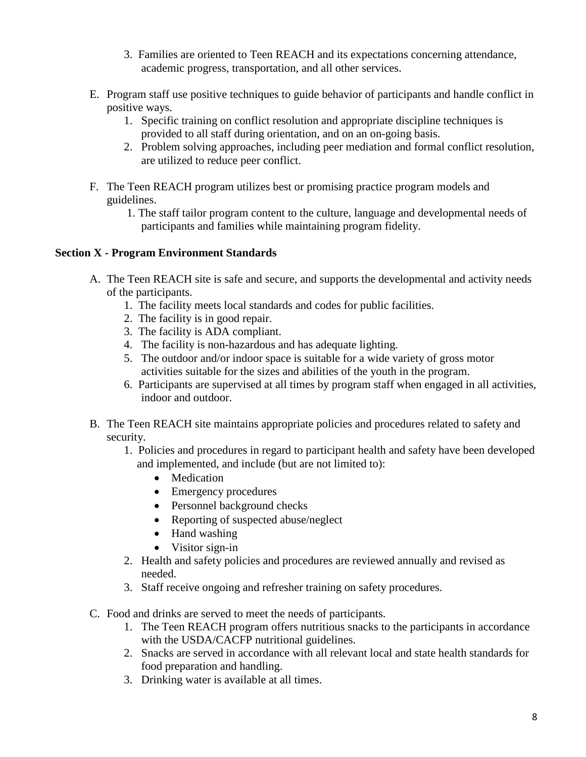- 3. Families are oriented to Teen REACH and its expectations concerning attendance, academic progress, transportation, and all other services.
- E. Program staff use positive techniques to guide behavior of participants and handle conflict in positive ways.
	- 1. Specific training on conflict resolution and appropriate discipline techniques is provided to all staff during orientation, and on an on-going basis.
	- 2. Problem solving approaches, including peer mediation and formal conflict resolution, are utilized to reduce peer conflict.
- F. The Teen REACH program utilizes best or promising practice program models and guidelines.
	- 1. The staff tailor program content to the culture, language and developmental needs of participants and families while maintaining program fidelity.

### **Section X - Program Environment Standards**

- A. The Teen REACH site is safe and secure, and supports the developmental and activity needs of the participants.
	- 1. The facility meets local standards and codes for public facilities.
	- 2. The facility is in good repair.
	- 3. The facility is ADA compliant.
	- 4. The facility is non-hazardous and has adequate lighting.
	- 5. The outdoor and/or indoor space is suitable for a wide variety of gross motor activities suitable for the sizes and abilities of the youth in the program.
	- 6. Participants are supervised at all times by program staff when engaged in all activities, indoor and outdoor.
- B. The Teen REACH site maintains appropriate policies and procedures related to safety and security.
	- 1. Policies and procedures in regard to participant health and safety have been developed and implemented, and include (but are not limited to):
		- Medication
		- Emergency procedures
		- Personnel background checks
		- Reporting of suspected abuse/neglect
		- Hand washing
		- Visitor sign-in
	- 2. Health and safety policies and procedures are reviewed annually and revised as needed.
	- 3. Staff receive ongoing and refresher training on safety procedures.
- C. Food and drinks are served to meet the needs of participants.
	- 1. The Teen REACH program offers nutritious snacks to the participants in accordance with the USDA/CACFP nutritional guidelines.
	- 2. Snacks are served in accordance with all relevant local and state health standards for food preparation and handling.
	- 3. Drinking water is available at all times.